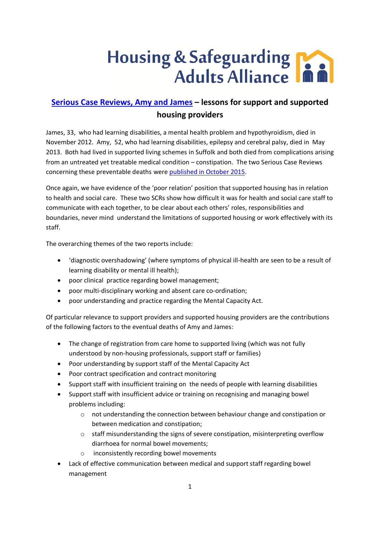## Housing & Safeguarding

## **[Serious Case Reviews, Amy and James](http://www.suffolkas.org/safeguarding-adults-reviews/) – lessons for support and supported housing providers**

James, 33, who had learning disabilities, a mental health problem and hypothyroidism, died in November 2012. Amy, 52, who had learning disabilities, epilepsy and cerebral palsy, died in May 2013. Both had lived in supported living schemes in Suffolk and both died from complications arising from an untreated yet treatable medical condition – constipation. The two Serious Case Reviews concerning these preventable deaths were [published in October 2015.](http://www.suffolkas.org/sab-sub-groups/the-safeguarding-adults-review-advisory-panel/serious-case-reviews-suffolk/)

Once again, we have evidence of the 'poor relation' position that supported housing has in relation to health and social care. These two SCRs show how difficult it was for health and social care staff to communicate with each together, to be clear about each others' roles, responsibilities and boundaries, never mind understand the limitations of supported housing or work effectively with its staff.

The overarching themes of the two reports include:

- 'diagnostic overshadowing' (where symptoms of physical ill-health are seen to be a result of learning disability or mental ill health);
- poor clinical practice regarding bowel management;
- poor multi-disciplinary working and absent care co-ordination;
- poor understanding and practice regarding the Mental Capacity Act.

Of particular relevance to support providers and supported housing providers are the contributions of the following factors to the eventual deaths of Amy and James:

- The change of registration from care home to supported living (which was not fully understood by non-housing professionals, support staff or families)
- Poor understanding by support staff of the Mental Capacity Act
- Poor contract specification and contract monitoring
- Support staff with insufficient training on the needs of people with learning disabilities
- Support staff with insufficient advice or training on recognising and managing bowel problems including:
	- o not understanding the connection between behaviour change and constipation or between medication and constipation;
	- o staff misunderstanding the signs of severe constipation, misinterpreting overflow diarrhoea for normal bowel movements;
	- o inconsistently recording bowel movements
- Lack of effective communication between medical and support staff regarding bowel management